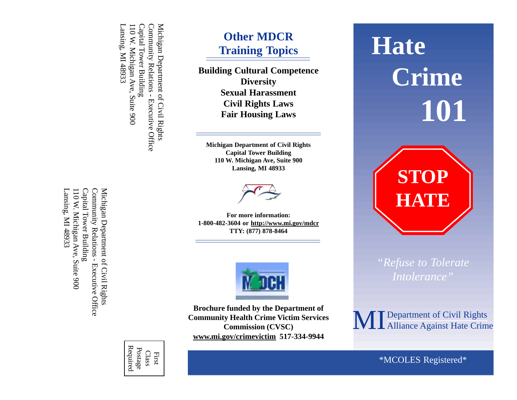Lansing, MI 48933 Capital Tower Building Capital Tower Building Community Relations - Executive Office Community Relations - Executive Office Michigan Department of Civil Rights Michigan Department of Civil Rights Lansing, MI 48933 110 W. Michigan Ave, Suite 900 110 W. Michigan Ave, Suite 900

> Class First

Required Postage

110 W. Michigan Ave, Suite 900 Capital Tower Building Community Relations - Executive Office Michigan Department of Civil Rights Lansing, MI 48933 Lansing, MI 48933 110 W. Michigan Ave, Suite 900 Capital Tower Building Community Relations - Executive Office Michigan Department of Civil Rights

 $\Omega$ dent R $\Omega$ **Other MDCR Training Topics**

**Building Cultural Competence Diversity Sexual Harassment Civil Rights Laws Fair Housing Laws**

**Michigan Department of Civil Rights Capital Tower Building 110 W. Michigan Ave, Suite 900 Lansing, MI 48933**



**For more information: 1-800-482-3604 or http://www.mi.gov/mdcr TTY: (877) 878-8464**



**Brochure funded by the Department of Community Health Crime Victim Services Commission (CVSC) www.mi.gov/crimevictim 517-334-9944**



**STOP HATE**

*"Refuse to Tolerate*